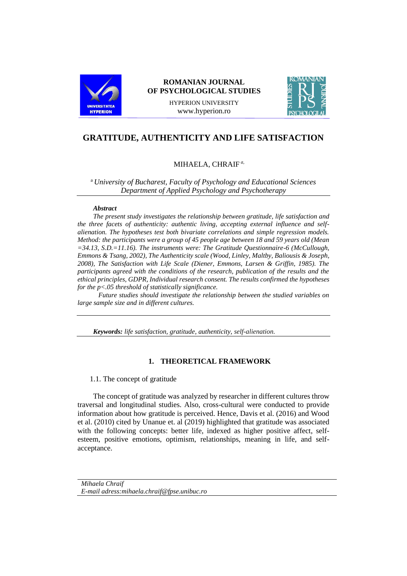

# **ROMANIAN JOURNAL OF PSYCHOLOGICAL STUDIES**

HYPERION UNIVERSITY www.hyperion.ro



# **GRATITUDE, AUTHENTICITY AND LIFE SATISFACTION**

# MIHAELA, CHRAIF *a,*

<sup>a</sup> *University of Bucharest, Faculty of Psychology and Educational Sciences Department of Applied Psychology and Psychotherapy*

#### *Abstract*

*The present study investigates the relationship between gratitude, life satisfaction and the three facets of authenticity: authentic living, accepting external influence and selfalienation. The hypotheses test both bivariate correlations and simple regression models. Method: the participants were a group of 45 people age between 18 and 59 years old (Mean =34.13, S.D.=11.16). The instruments were: The Gratitude Questionnaire-6 (McCullough, Emmons & Tsang, 2002), The Authenticity scale (Wood, Linley, Maltby, Baliousis & Joseph, 2008), The Satisfaction with Life Scale (Diener, Emmons, Larsen & Griffin, 1985). The participants agreed with the conditions of the research, publication of the results and the ethical principles, GDPR, Individual research consent. The results confirmed the hypotheses for the p<.05 threshold of statistically significance.*

 *Future studies should investigate the relationship between the studied variables on large sample size and in different cultures.* 

*Keywords: life satisfaction, gratitude, authenticity, self-alienation.*

## **1. THEORETICAL FRAMEWORK**

1.1. The concept of gratitude

The concept of gratitude was analyzed by researcher in different cultures throw traversal and longitudinal studies. Also, cross-cultural were conducted to provide information about how gratitude is perceived. Hence, Davis et al. (2016) and Wood et al. (2010) cited by Unanue et. al (2019) highlighted that gratitude was associated with the following concepts: better life, indexed as higher positive affect, selfesteem, positive emotions, optimism, relationships, meaning in life, and selfacceptance.

*Mihaela Chraif E-mail adress:mihaela.chraif@fpse.unibuc.ro*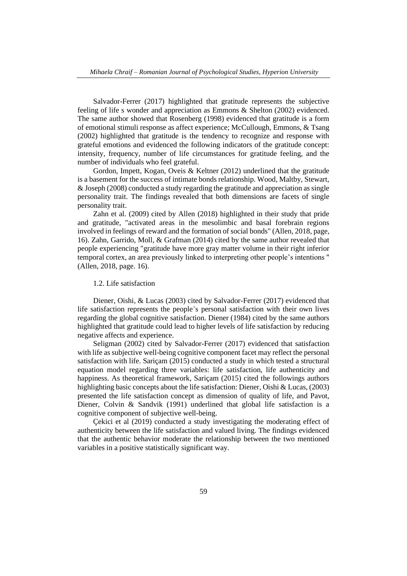Salvador-Ferrer (2017) highlighted that gratitude represents the subjective feeling of life s wonder and appreciation as Emmons & Shelton (2002) evidenced. The same author showed that Rosenberg (1998) evidenced that gratitude is a form of emotional stimuli response as affect experience; McCullough, Emmons, & Tsang (2002) highlighted that gratitude is the tendency to recognize and response with grateful emotions and evidenced the following indicators of the gratitude concept: intensity, frequency, number of life circumstances for gratitude feeling, and the number of individuals who feel grateful.

Gordon, Impett, Kogan, Oveis & Keltner (2012) underlined that the gratitude is a basement for the success of intimate bonds relationship. Wood, Maltby, Stewart, & Joseph (2008) conducted a study regarding the gratitude and appreciation as single personality trait. The findings revealed that both dimensions are facets of single personality trait.

Zahn et al. (2009) cited by Allen (2018) highlighted in their study that pride and gratitude, "activated areas in the mesolimbic and basal forebrain regions involved in feelings of reward and the formation of social bonds" (Allen, 2018, page, 16). Zahn, Garrido, Moll, & Grafman (2014) cited by the same author revealed that people experiencing "gratitude have more gray matter volume in their right inferior temporal cortex, an area previously linked to interpreting other people's intentions " (Allen, 2018, page. 16).

#### 1.2. Life satisfaction

Diener, Oishi, & Lucas (2003) cited by Salvador-Ferrer (2017) evidenced that life satisfaction represents the people's personal satisfaction with their own lives regarding the global cognitive satisfaction. Diener (1984) cited by the same authors highlighted that gratitude could lead to higher levels of life satisfaction by reducing negative affects and experience.

Seligman (2002) cited by Salvador-Ferrer (2017) evidenced that satisfaction with life as subjective well-being cognitive component facet may reflect the personal satisfaction with life. Sariçam (2015) conducted a study in which tested a structural equation model regarding three variables: life satisfaction, life authenticity and happiness. As theoretical framework, Sariçam (2015) cited the followings authors highlighting basic concepts about the life satisfaction: Diener, Oishi & Lucas, (2003) presented the life satisfaction concept as dimension of quality of life, and Pavot, Diener, Colvin & Sandvik (1991) underlined that global life satisfaction is a cognitive component of subjective well-being.

Çekici et al (2019) conducted a study investigating the moderating effect of authenticity between the life satisfaction and valued living. The findings evidenced that the authentic behavior moderate the relationship between the two mentioned variables in a positive statistically significant way.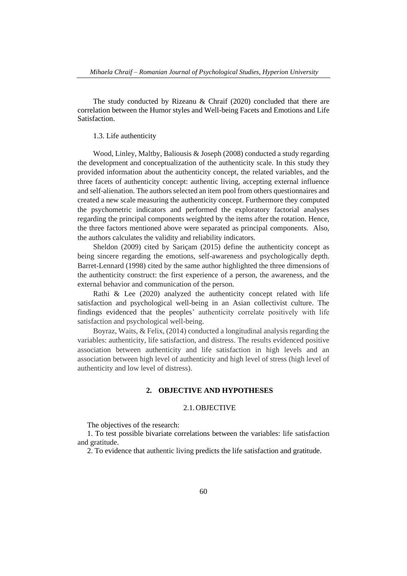The study conducted by Rizeanu & Chraif (2020) concluded that there are correlation between the Humor styles and Well-being Facets and Emotions and Life Satisfaction.

#### 1.3. Life authenticity

Wood, Linley, Maltby, Baliousis & Joseph (2008) conducted a study regarding the development and conceptualization of the authenticity scale. In this study they provided information about the authenticity concept, the related variables, and the three facets of authenticity concept: authentic living, accepting external influence and self-alienation. The authors selected an item pool from others questionnaires and created a new scale measuring the authenticity concept. Furthermore they computed the psychometric indicators and performed the exploratory factorial analyses regarding the principal components weighted by the items after the rotation. Hence, the three factors mentioned above were separated as principal components. Also, the authors calculates the validity and reliability indicators.

Sheldon (2009) cited by Sariçam (2015) define the authenticity concept as being sincere regarding the emotions, self-awareness and psychologically depth. Barret-Lennard (1998) cited by the same author highlighted the three dimensions of the authenticity construct: the first experience of a person, the awareness, and the external behavior and communication of the person.

Rathi & Lee (2020) analyzed the authenticity concept related with life satisfaction and psychological well-being in an Asian collectivist culture. The findings evidenced that the peoples' authenticity correlate positively with life satisfaction and psychological well-being.

Boyraz, Waits, & Felix, (2014) conducted a longitudinal analysis regarding the variables: authenticity, life satisfaction, and distress. The results evidenced positive association between authenticity and life satisfaction in high levels and an association between high level of authenticity and high level of stress (high level of authenticity and low level of distress).

# **2. OBJECTIVE AND HYPOTHESES**

# 2.1.OBJECTIVE

The objectives of the research:

1. To test possible bivariate correlations between the variables: life satisfaction and gratitude.

2. To evidence that authentic living predicts the life satisfaction and gratitude.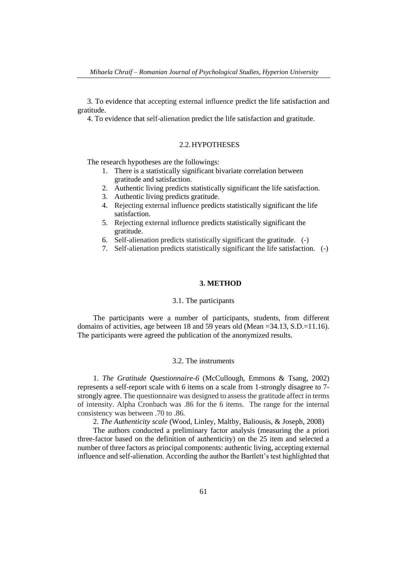3. To evidence that accepting external influence predict the life satisfaction and gratitude.

4. To evidence that self-alienation predict the life satisfaction and gratitude.

#### 2.2.HYPOTHESES

The research hypotheses are the followings:

- 1. There is a statistically significant bivariate correlation between gratitude and satisfaction.
- 2. Authentic living predicts statistically significant the life satisfaction.
- 3. Authentic living predicts gratitude.
- 4. Rejecting external influence predicts statistically significant the life satisfaction.
- 5. Rejecting external influence predicts statistically significant the gratitude.
- 6. Self-alienation predicts statistically significant the gratitude. (-)
- 7. Self-alienation predicts statistically significant the life satisfaction. (-)

## **3. METHOD**

#### 3.1. The participants

The participants were a number of participants, students, from different domains of activities, age between 18 and 59 years old (Mean  $=34.13$ , S.D. $=11.16$ ). The participants were agreed the publication of the anonymized results.

#### 3.2. The instruments

1. *The Gratitude Questionnaire-6* (McCullough, Emmons & Tsang, 2002) represents a self-report scale with 6 items on a scale from 1-strongly disagree to 7 strongly agree. The questionnaire was designed to assess the gratitude affect in terms of intensity. Alpha Cronbach was .86 for the 6 items. The range for the internal consistency was between .70 to .86.

2. *The Authenticity scale* (Wood, Linley, Maltby, Baliousis, & Joseph, 2008)

The authors conducted a preliminary factor analysis (measuring the a priori three-factor based on the definition of authenticity) on the 25 item and selected a number of three factors as principal components: authentic living, accepting external influence and self-alienation. According the author the Bartlett's test highlighted that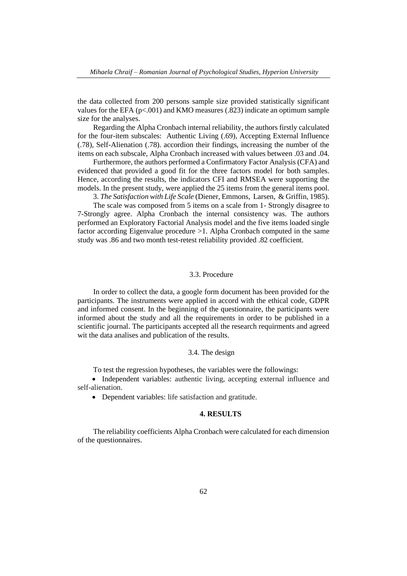the data collected from 200 persons sample size provided statistically significant values for the EFA ( $p<0.001$ ) and KMO measures (.823) indicate an optimum sample size for the analyses.

Regarding the Alpha Cronbach internal reliability, the authors firstly calculated for the four-item subscales: Authentic Living (.69), Accepting External Influence (.78), Self-Alienation (.78). accordion their findings, increasing the number of the items on each subscale, Alpha Cronbach increased with values between .03 and .04.

Furthermore, the authors performed a Confirmatory Factor Analysis (CFA) and evidenced that provided a good fit for the three factors model for both samples. Hence, according the results, the indicators CFI and RMSEA were supporting the models. In the present study, were applied the 25 items from the general items pool.

3. *The Satisfaction with Life Scale* (Diener, Emmons, Larsen, & Griffin, 1985).

The scale was composed from 5 items on a scale from 1- Strongly disagree to 7-Strongly agree. Alpha Cronbach the internal consistency was. The authors performed an Exploratory Factorial Analysis model and the five items loaded single factor according Eigenvalue procedure >1. Alpha Cronbach computed in the same study was .86 and two month test-retest reliability provided .82 coefficient.

#### 3.3. Procedure

In order to collect the data, a google form document has been provided for the participants. The instruments were applied in accord with the ethical code, GDPR and informed consent. In the beginning of the questionnaire, the participants were informed about the study and all the requirements in order to be published in a scientific journal. The participants accepted all the research requirments and agreed wit the data analises and publication of the results.

#### 3.4. The design

To test the regression hypotheses, the variables were the followings:

• Independent variables: authentic living, accepting external influence and self-alienation.

• Dependent variables: life satisfaction and gratitude.

#### **4. RESULTS**

The reliability coefficients Alpha Cronbach were calculated for each dimension of the questionnaires.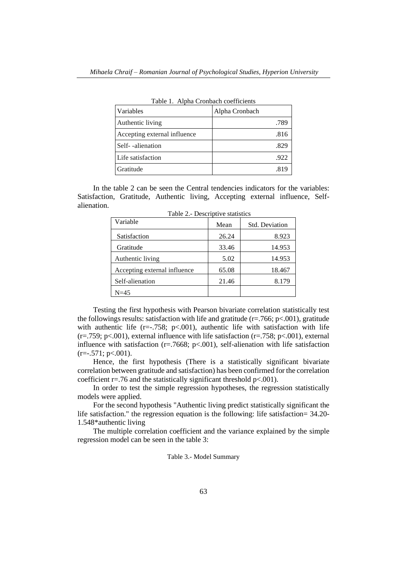| Table 1. Alpha Cronbach coefficients |                |  |  |  |
|--------------------------------------|----------------|--|--|--|
| Variables                            | Alpha Cronbach |  |  |  |
| Authentic living                     | .789           |  |  |  |
| Accepting external influence         | .816           |  |  |  |
| Self--alienation                     | .829           |  |  |  |
| Life satisfaction                    | .922           |  |  |  |
| Gratitude                            | .819           |  |  |  |

Table 1. Alpha Cronbach coefficients

In the table 2 can be seen the Central tendencies indicators for the variables: Satisfaction, Gratitude, Authentic living, Accepting external influence, Selfalienation.

| Variable                     | Mean  | Std. Deviation |  |
|------------------------------|-------|----------------|--|
| Satisfaction                 | 26.24 | 8.923          |  |
| Gratitude                    | 33.46 | 14.953         |  |
| Authentic living             | 5.02  | 14.953         |  |
| Accepting external influence | 65.08 | 18.467         |  |
| Self-alienation              | 21.46 | 8.179          |  |
| N=45                         |       |                |  |

Table 2.- Descriptive statistics

Testing the first hypothesis with Pearson bivariate correlation statistically test the followings results: satisfaction with life and gratitude ( $r = .766$ ;  $p < .001$ ), gratitude with authentic life ( $r=-.758$ ;  $p<-.001$ ), authentic life with satisfaction with life ( $r = .759$ ;  $p < .001$ ), external influence with life satisfaction ( $r = .758$ ;  $p < .001$ ), external influence with satisfaction ( $r = .7668$ ;  $p < .001$ ), self-alienation with life satisfaction  $(r=-.571; p<.001)$ .

Hence, the first hypothesis (There is a statistically significant bivariate correlation between gratitude and satisfaction) has been confirmed for the correlation coefficient  $r = .76$  and the statistically significant threshold  $p < .001$ ).

In order to test the simple regression hypotheses, the regression statistically models were applied.

For the second hypothesis "Authentic living predict statistically significant the life satisfaction." the regression equation is the following: life satisfaction= 34.20- 1.548\*authentic living

The multiple correlation coefficient and the variance explained by the simple regression model can be seen in the table 3:

#### Table 3.- Model Summary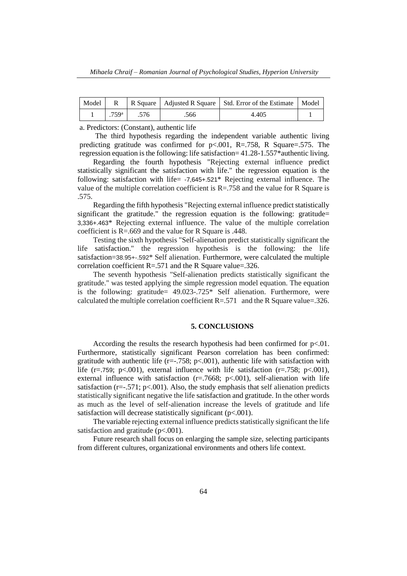|                   |      |      | Model   R   R Square   Adjusted R Square   Std. Error of the Estimate   Model |  |
|-------------------|------|------|-------------------------------------------------------------------------------|--|
| .759 <sup>a</sup> | .576 | .566 | 4.405                                                                         |  |

a. Predictors: (Constant), authentic life

The third hypothesis regarding the independent variable authentic living predicting gratitude was confirmed for  $p<.001$ , R=.758, R Square=.575. The regression equation is the following: life satisfaction= 41.28-1.557\*authentic living.

Regarding the fourth hypothesis "Rejecting external influence predict statistically significant the satisfaction with life." the regression equation is the following: satisfaction with life= -7,645+.521\* Rejecting external influence. The value of the multiple correlation coefficient is  $R = 758$  and the value for R Square is .575.

Regarding the fifth hypothesis "Rejecting external influence predict statistically significant the gratitude." the regression equation is the following: gratitude= 3,336+.463\* Rejecting external influence. The value of the multiple correlation coefficient is R=.669 and the value for R Square is .448.

Testing the sixth hypothesis "Self-alienation predict statistically significant the life satisfaction." the regression hypothesis is the following: the life satisfaction=38.95+-.592\* Self alienation. Furthermore, were calculated the multiple correlation coefficient R=.571 and the R Square value=.326.

The seventh hypothesis "Self-alienation predicts statistically significant the gratitude." was tested applying the simple regression model equation. The equation is the following: gratitude= 49.023-.725\* Self alienation. Furthermore, were calculated the multiple correlation coefficient  $R = .571$  and the R Square value=.326.

#### **5. CONCLUSIONS**

According the results the research hypothesis had been confirmed for  $p<.01$ . Furthermore, statistically significant Pearson correlation has been confirmed: gratitude with authentic life ( $r=-.758$ ;  $p<.001$ ), authentic life with satisfaction with life (r=.759; p<.001), external influence with life satisfaction (r=.758; p<.001), external influence with satisfaction  $(r=7668; p<.001)$ , self-alienation with life satisfaction ( $r=-.571$ ;  $p<.001$ ). Also, the study emphasis that self alienation predicts statistically significant negative the life satisfaction and gratitude. In the other words as much as the level of self-alienation increase the levels of gratitude and life satisfaction will decrease statistically significant  $(p<.001)$ .

The variable rejecting external influence predicts statistically significant the life satisfaction and gratitude  $(p<.001)$ .

Future research shall focus on enlarging the sample size, selecting participants from different cultures, organizational environments and others life context.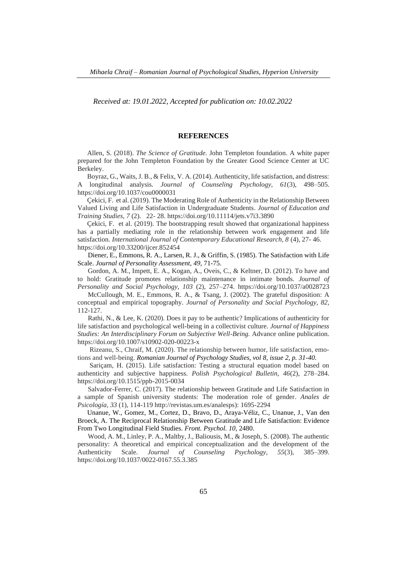*Received at: 19.01.2022, Accepted for publication on: 10.02.2022*

#### **REFERENCES**

Allen, S. (2018). *The Science of Gratitude.* John Templeton foundation. A white paper prepared for the John Templeton Foundation by the Greater Good Science Center at UC Berkeley.

Boyraz, G., Waits, J. B., & Felix, V. A. (2014). Authenticity, life satisfaction, and distress: A longitudinal analysis. *Journal of Counseling Psychology, 61*(3), 498–505. <https://doi.org/10.1037/cou0000031>

Çekici, F. et al. (2019). The Moderating Role of Authenticity in the Relationship Between Valued Living and Life Satisfaction in Undergraduate Students. *Journal of Education and Training Studies, 7* (2). 22- 28.<https://doi.org/10.11114/jets.v7i3.3890>

Çekici, F. et al. (2019). The bootstrapping result showed that organizational happiness has a partially mediating role in the relationship between work engagement and life satisfaction. *International Journal of Contemporary Educational Research, 8* (4), 27- 46. <https://doi.org/10.33200/ijcer.852454>

 Diener, E., Emmons, R. A., Larsen, R. J., & Griffin, S. (1985). The Satisfaction with Life Scale. *Journal of Personality Assessment*, *49*, 71-75.

 Gordon, A. M., Impett, E. A., Kogan, A., Oveis, C., & Keltner, D. (2012). To have and to hold: Gratitude promotes relationship maintenance in intimate bonds. *Journal of Personality and Social Psychology, 103* (2), 257–274. <https://doi.org/10.1037/a0028723>

 McCullough, M. E., Emmons, R. A., & Tsang, J. (2002). The grateful disposition: A conceptual and empirical topography. *Journal of Personality and Social Psychology, 82,* 112-127.

 Rathi, N., & Lee, K. (2020). Does it pay to be authentic? Implications of authenticity for life satisfaction and psychological well-being in a collectivist culture. *Journal of Happiness Studies: An Interdisciplinary Forum on Subjective Well-Being.* Advance online publication. <https://doi.org/10.1007/s10902-020-00223-x>

 Rizeanu, S., Chraif, M. (2020). The relationship between humor, life satisfaction, emotions and well-being. *Romanian Journal of Psychology Studies, vol 8, issue 2, p. 31-40.*

 Sariçam, H. (2015). Life satisfaction: Testing a structural equation model based on authenticity and subjective happiness. *Polish Psychological Bulletin, 46*(2), 278–284. <https://doi.org/10.1515/ppb-2015-0034>

 Salvador-Ferrer, C. (2017). The relationship between Gratitude and Life Satisfaction in a sample of Spanish university students: The moderation role of gender. *Anales de Psicología, 33* (1), 114-119 [http://revistas.um.es/analesps\)](http://revistas.um.es/analesps): 1695-2294

Unanue, W., Gomez, M., Cortez, D., Bravo, D., Araya-Véliz, C., Unanue, J., Van den Broeck, A. The Reciprocal Relationship Between Gratitude and Life Satisfaction: Evidence From Two Longitudinal Field Studies. *Front. Psychol. 10,* 2480.

 Wood, A. M., Linley, P. A., Maltby, J., Baliousis, M., & Joseph, S. (2008). The authentic personality: A theoretical and empirical conceptualization and the development of the Authenticity Scale. *Journal of Counseling Psychology, 55*(3), 385–399. <https://doi.org/10.1037/0022-0167.55.3.385>